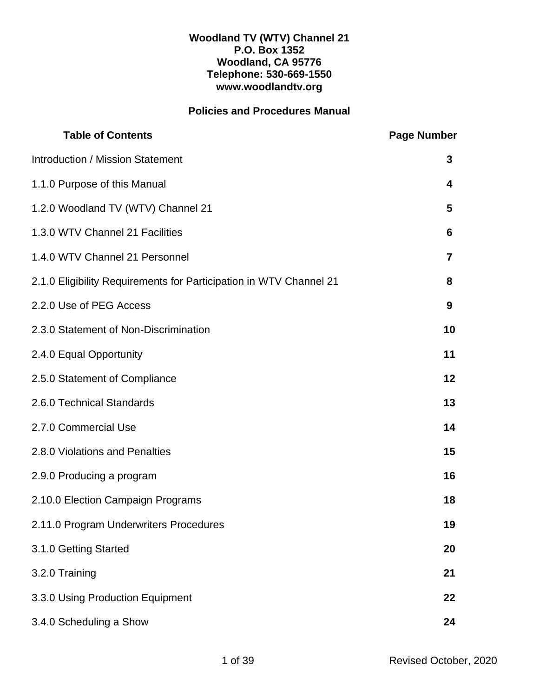#### **Woodland TV (WTV) Channel 21 P.O. Box 1352 Woodland, CA 95776 Telephone: 530-669-1550 www.woodlandtv.org**

# **Policies and Procedures Manual**

| <b>Table of Contents</b>                                           | <b>Page Number</b> |
|--------------------------------------------------------------------|--------------------|
| <b>Introduction / Mission Statement</b>                            | 3                  |
| 1.1.0 Purpose of this Manual                                       | 4                  |
| 1.2.0 Woodland TV (WTV) Channel 21                                 | 5                  |
| 1.3.0 WTV Channel 21 Facilities                                    | 6                  |
| 1.4.0 WTV Channel 21 Personnel                                     | 7                  |
| 2.1.0 Eligibility Requirements for Participation in WTV Channel 21 | 8                  |
| 2.2.0 Use of PEG Access                                            | 9                  |
| 2.3.0 Statement of Non-Discrimination                              | 10                 |
| 2.4.0 Equal Opportunity                                            | 11                 |
| 2.5.0 Statement of Compliance                                      | 12                 |
| 2.6.0 Technical Standards                                          | 13                 |
| 2.7.0 Commercial Use                                               | 14                 |
| 2.8.0 Violations and Penalties                                     | 15                 |
| 2.9.0 Producing a program                                          | 16                 |
| 2.10.0 Election Campaign Programs                                  | 18                 |
| 2.11.0 Program Underwriters Procedures                             | 19                 |
| 3.1.0 Getting Started                                              | 20                 |
| 3.2.0 Training                                                     | 21                 |
| 3.3.0 Using Production Equipment                                   | 22                 |
| 3.4.0 Scheduling a Show                                            | 24                 |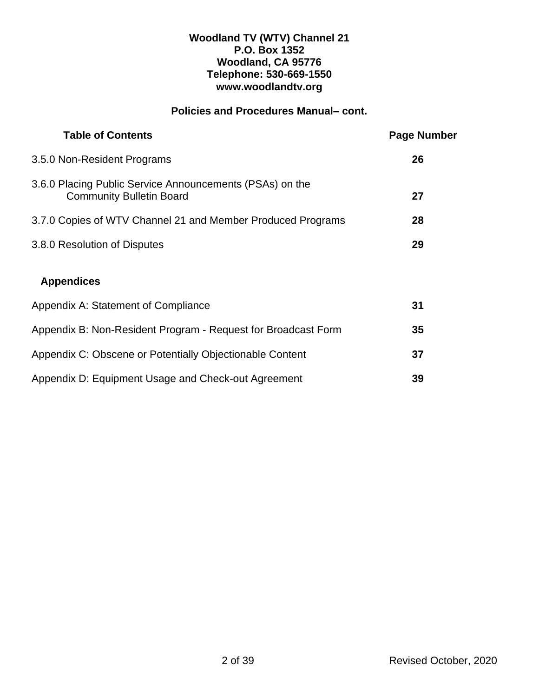### **Woodland TV (WTV) Channel 21 P.O. Box 1352 Woodland, CA 95776 Telephone: 530-669-1550 www.woodlandtv.org**

# **Policies and Procedures Manual– cont.**

| <b>Table of Contents</b>                                                                    | <b>Page Number</b> |
|---------------------------------------------------------------------------------------------|--------------------|
| 3.5.0 Non-Resident Programs                                                                 | 26                 |
| 3.6.0 Placing Public Service Announcements (PSAs) on the<br><b>Community Bulletin Board</b> | 27                 |
| 3.7.0 Copies of WTV Channel 21 and Member Produced Programs                                 | 28                 |
| 3.8.0 Resolution of Disputes                                                                | 29                 |
| <b>Appendices</b>                                                                           |                    |
| Appendix A: Statement of Compliance                                                         | 31                 |
| Appendix B: Non-Resident Program - Request for Broadcast Form                               | 35                 |
| Appendix C: Obscene or Potentially Objectionable Content                                    | 37                 |
| Appendix D: Equipment Usage and Check-out Agreement                                         | 39                 |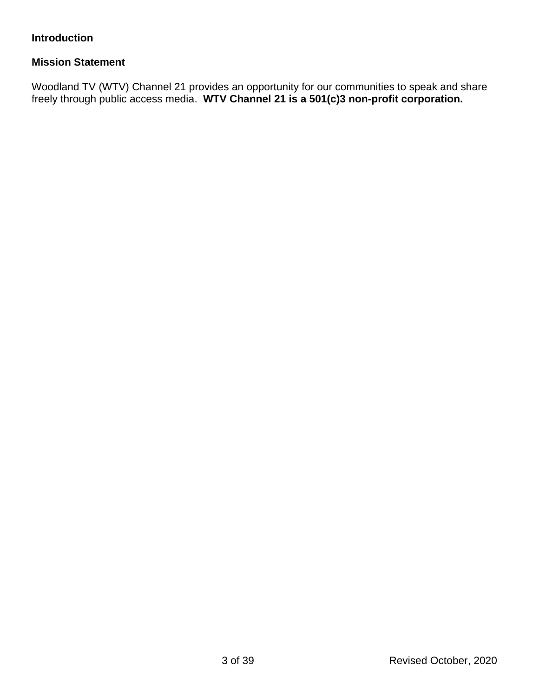# **Introduction**

### **Mission Statement**

Woodland TV (WTV) Channel 21 provides an opportunity for our communities to speak and share freely through public access media. **WTV Channel 21 is a 501(c)3 non-profit corporation.**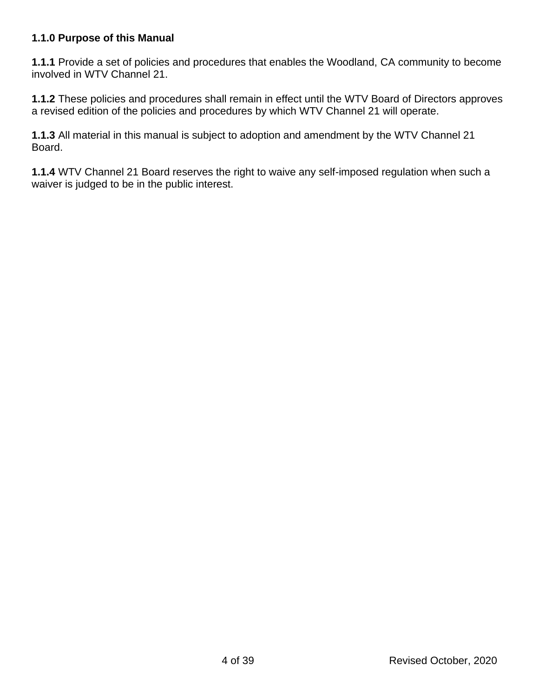## **1.1.0 Purpose of this Manual**

**1.1.1** Provide a set of policies and procedures that enables the Woodland, CA community to become involved in WTV Channel 21.

**1.1.2** These policies and procedures shall remain in effect until the WTV Board of Directors approves a revised edition of the policies and procedures by which WTV Channel 21 will operate.

**1.1.3** All material in this manual is subject to adoption and amendment by the WTV Channel 21 Board.

**1.1.4** WTV Channel 21 Board reserves the right to waive any self-imposed regulation when such a waiver is judged to be in the public interest.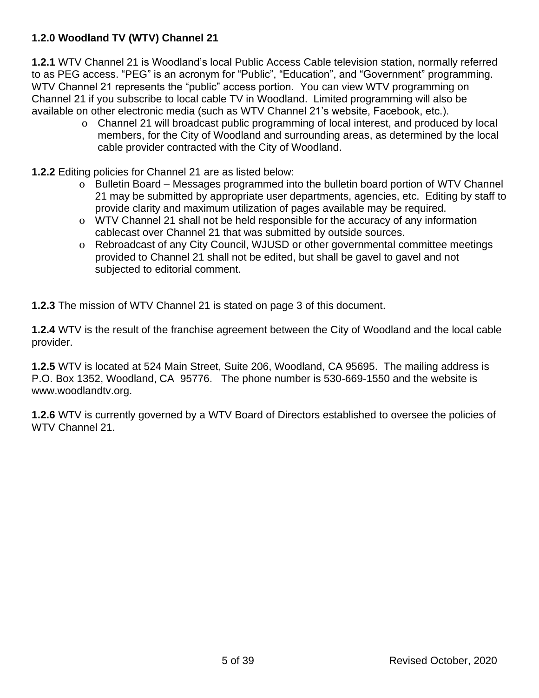# **1.2.0 Woodland TV (WTV) Channel 21**

**1.2.1** WTV Channel 21 is Woodland's local Public Access Cable television station, normally referred to as PEG access. "PEG" is an acronym for "Public", "Education", and "Government" programming. WTV Channel 21 represents the "public" access portion. You can view WTV programming on Channel 21 if you subscribe to local cable TV in Woodland. Limited programming will also be available on other electronic media (such as WTV Channel 21's website, Facebook, etc.).

- o Channel 21 will broadcast public programming of local interest, and produced by local members, for the City of Woodland and surrounding areas, as determined by the local cable provider contracted with the City of Woodland.
- **1.2.2** Editing policies for Channel 21 are as listed below:
	- o Bulletin Board Messages programmed into the bulletin board portion of WTV Channel 21 may be submitted by appropriate user departments, agencies, etc. Editing by staff to provide clarity and maximum utilization of pages available may be required.
	- o WTV Channel 21 shall not be held responsible for the accuracy of any information cablecast over Channel 21 that was submitted by outside sources.
	- o Rebroadcast of any City Council, WJUSD or other governmental committee meetings provided to Channel 21 shall not be edited, but shall be gavel to gavel and not subjected to editorial comment.

**1.2.3** The mission of WTV Channel 21 is stated on page 3 of this document.

**1.2.4** WTV is the result of the franchise agreement between the City of Woodland and the local cable provider.

**1.2.5** WTV is located at 524 Main Street, Suite 206, Woodland, CA 95695. The mailing address is P.O. Box 1352, Woodland, CA 95776. The phone number is 530-669-1550 and the website is www.woodlandtv.org.

**1.2.6** WTV is currently governed by a WTV Board of Directors established to oversee the policies of WTV Channel 21.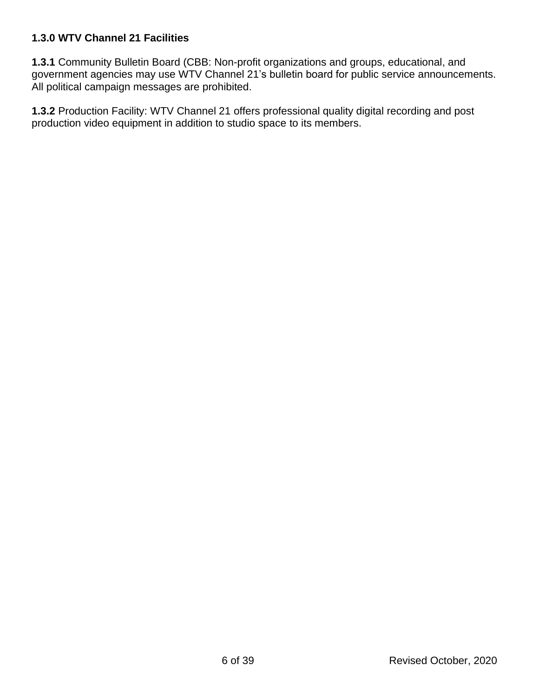# **1.3.0 WTV Channel 21 Facilities**

**1.3.1** Community Bulletin Board (CBB: Non-profit organizations and groups, educational, and government agencies may use WTV Channel 21's bulletin board for public service announcements. All political campaign messages are prohibited.

**1.3.2** Production Facility: WTV Channel 21 offers professional quality digital recording and post production video equipment in addition to studio space to its members.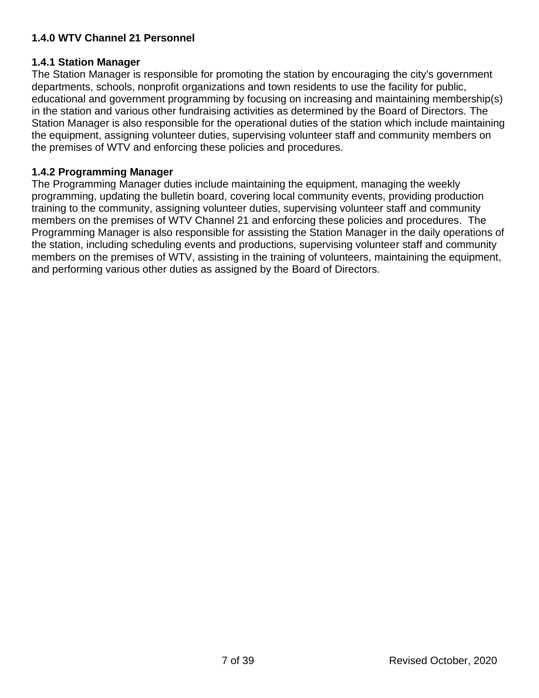# **1.4.0 WTV Channel 21 Personnel**

## **1.4.1 Station Manager**

The Station Manager is responsible for promoting the station by encouraging the city's government departments, schools, nonprofit organizations and town residents to use the facility for public, educational and government programming by focusing on increasing and maintaining membership(s) in the station and various other fundraising activities as determined by the Board of Directors. The Station Manager is also responsible for the operational duties of the station which include maintaining the equipment, assigning volunteer duties, supervising volunteer staff and community members on the premises of WTV and enforcing these policies and procedures.

## **1.4.2 Programming Manager**

The Programming Manager duties include maintaining the equipment, managing the weekly programming, updating the bulletin board, covering local community events, providing production training to the community, assigning volunteer duties, supervising volunteer staff and community members on the premises of WTV Channel 21 and enforcing these policies and procedures. The Programming Manager is also responsible for assisting the Station Manager in the daily operations of the station, including scheduling events and productions, supervising volunteer staff and community members on the premises of WTV, assisting in the training of volunteers, maintaining the equipment, and performing various other duties as assigned by the Board of Directors.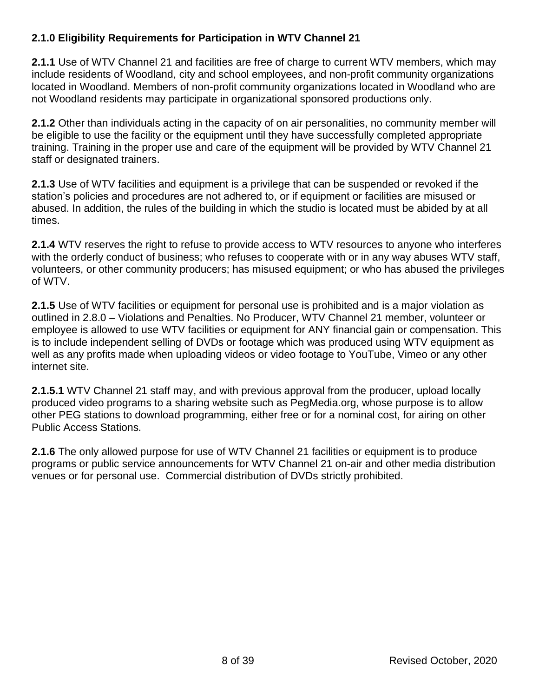# **2.1.0 Eligibility Requirements for Participation in WTV Channel 21**

**2.1.1** Use of WTV Channel 21 and facilities are free of charge to current WTV members, which may include residents of Woodland, city and school employees, and non-profit community organizations located in Woodland. Members of non-profit community organizations located in Woodland who are not Woodland residents may participate in organizational sponsored productions only.

**2.1.2** Other than individuals acting in the capacity of on air personalities, no community member will be eligible to use the facility or the equipment until they have successfully completed appropriate training. Training in the proper use and care of the equipment will be provided by WTV Channel 21 staff or designated trainers.

**2.1.3** Use of WTV facilities and equipment is a privilege that can be suspended or revoked if the station's policies and procedures are not adhered to, or if equipment or facilities are misused or abused. In addition, the rules of the building in which the studio is located must be abided by at all times.

**2.1.4** WTV reserves the right to refuse to provide access to WTV resources to anyone who interferes with the orderly conduct of business; who refuses to cooperate with or in any way abuses WTV staff, volunteers, or other community producers; has misused equipment; or who has abused the privileges of WTV.

**2.1.5** Use of WTV facilities or equipment for personal use is prohibited and is a major violation as outlined in 2.8.0 – Violations and Penalties. No Producer, WTV Channel 21 member, volunteer or employee is allowed to use WTV facilities or equipment for ANY financial gain or compensation. This is to include independent selling of DVDs or footage which was produced using WTV equipment as well as any profits made when uploading videos or video footage to YouTube, Vimeo or any other internet site.

**2.1.5.1** WTV Channel 21 staff may, and with previous approval from the producer, upload locally produced video programs to a sharing website such as PegMedia.org, whose purpose is to allow other PEG stations to download programming, either free or for a nominal cost, for airing on other Public Access Stations.

**2.1.6** The only allowed purpose for use of WTV Channel 21 facilities or equipment is to produce programs or public service announcements for WTV Channel 21 on-air and other media distribution venues or for personal use. Commercial distribution of DVDs strictly prohibited.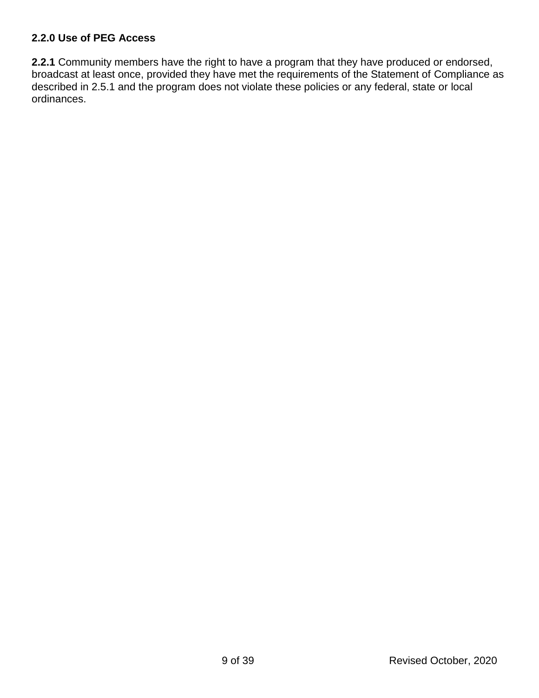## **2.2.0 Use of PEG Access**

**2.2.1** Community members have the right to have a program that they have produced or endorsed, broadcast at least once, provided they have met the requirements of the Statement of Compliance as described in 2.5.1 and the program does not violate these policies or any federal, state or local ordinances.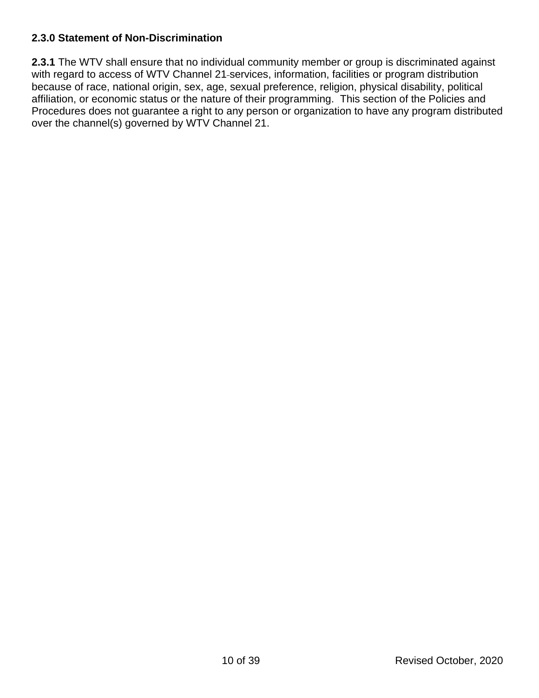## **2.3.0 Statement of Non-Discrimination**

**2.3.1** The WTV shall ensure that no individual community member or group is discriminated against with regard to access of WTV Channel 21-services, information, facilities or program distribution because of race, national origin, sex, age, sexual preference, religion, physical disability, political affiliation, or economic status or the nature of their programming. This section of the Policies and Procedures does not guarantee a right to any person or organization to have any program distributed over the channel(s) governed by WTV Channel 21.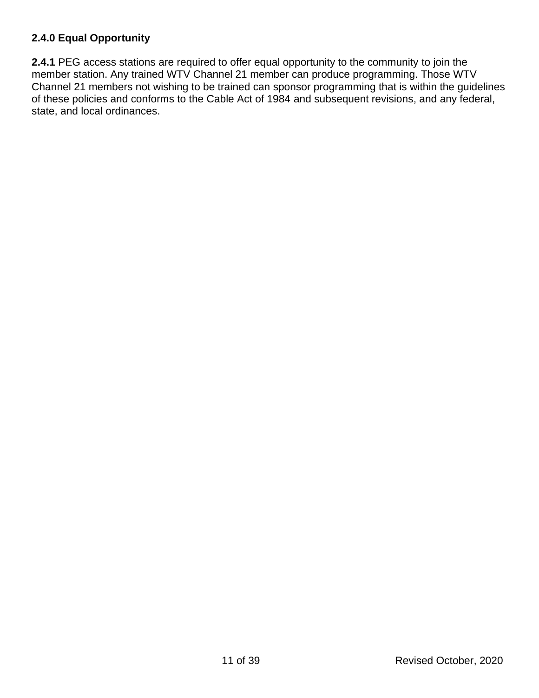# **2.4.0 Equal Opportunity**

**2.4.1** PEG access stations are required to offer equal opportunity to the community to join the member station. Any trained WTV Channel 21 member can produce programming. Those WTV Channel 21 members not wishing to be trained can sponsor programming that is within the guidelines of these policies and conforms to the Cable Act of 1984 and subsequent revisions, and any federal, state, and local ordinances.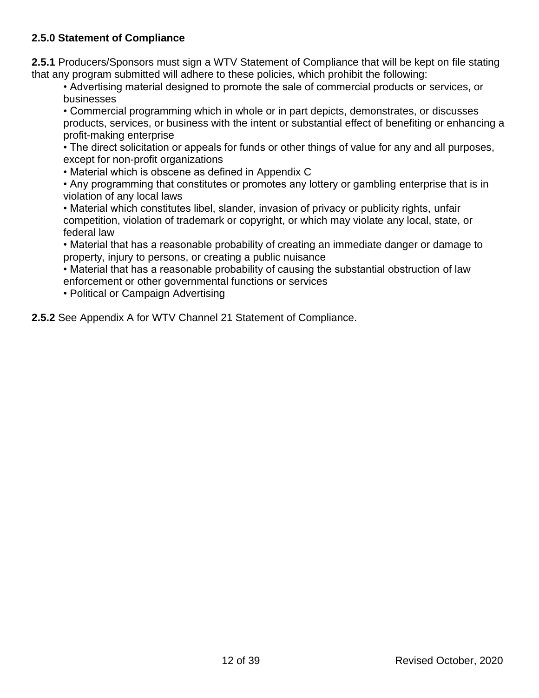# **2.5.0 Statement of Compliance**

**2.5.1** Producers/Sponsors must sign a WTV Statement of Compliance that will be kept on file stating that any program submitted will adhere to these policies, which prohibit the following:

• Advertising material designed to promote the sale of commercial products or services, or businesses

• Commercial programming which in whole or in part depicts, demonstrates, or discusses products, services, or business with the intent or substantial effect of benefiting or enhancing a profit-making enterprise

• The direct solicitation or appeals for funds or other things of value for any and all purposes, except for non-profit organizations

• Material which is obscene as defined in Appendix C

• Any programming that constitutes or promotes any lottery or gambling enterprise that is in violation of any local laws

• Material which constitutes libel, slander, invasion of privacy or publicity rights, unfair competition, violation of trademark or copyright, or which may violate any local, state, or federal law

• Material that has a reasonable probability of creating an immediate danger or damage to property, injury to persons, or creating a public nuisance

• Material that has a reasonable probability of causing the substantial obstruction of law enforcement or other governmental functions or services

• Political or Campaign Advertising

**2.5.2** See Appendix A for WTV Channel 21 Statement of Compliance.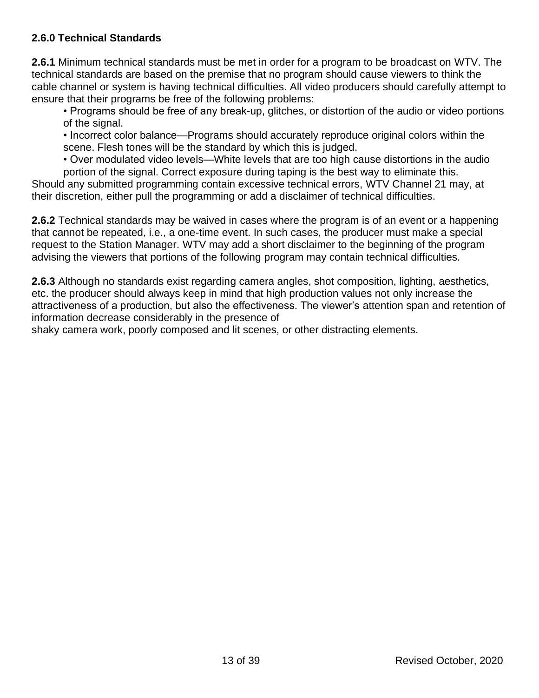# **2.6.0 Technical Standards**

**2.6.1** Minimum technical standards must be met in order for a program to be broadcast on WTV. The technical standards are based on the premise that no program should cause viewers to think the cable channel or system is having technical difficulties. All video producers should carefully attempt to ensure that their programs be free of the following problems:

• Programs should be free of any break-up, glitches, or distortion of the audio or video portions of the signal.

• Incorrect color balance—Programs should accurately reproduce original colors within the scene. Flesh tones will be the standard by which this is judged.

• Over modulated video levels—White levels that are too high cause distortions in the audio portion of the signal. Correct exposure during taping is the best way to eliminate this.

Should any submitted programming contain excessive technical errors, WTV Channel 21 may, at their discretion, either pull the programming or add a disclaimer of technical difficulties.

**2.6.2** Technical standards may be waived in cases where the program is of an event or a happening that cannot be repeated, i.e., a one-time event. In such cases, the producer must make a special request to the Station Manager. WTV may add a short disclaimer to the beginning of the program advising the viewers that portions of the following program may contain technical difficulties.

**2.6.3** Although no standards exist regarding camera angles, shot composition, lighting, aesthetics, etc. the producer should always keep in mind that high production values not only increase the attractiveness of a production, but also the effectiveness. The viewer's attention span and retention of information decrease considerably in the presence of

shaky camera work, poorly composed and lit scenes, or other distracting elements.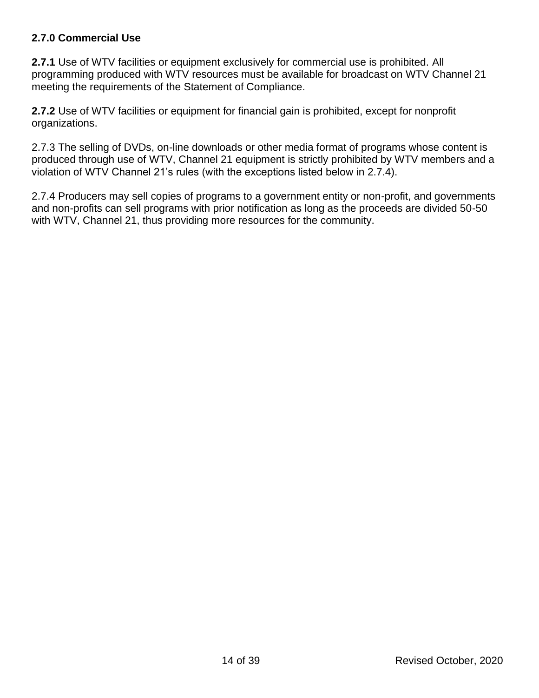# **2.7.0 Commercial Use**

**2.7.1** Use of WTV facilities or equipment exclusively for commercial use is prohibited. All programming produced with WTV resources must be available for broadcast on WTV Channel 21 meeting the requirements of the Statement of Compliance.

**2.7.2** Use of WTV facilities or equipment for financial gain is prohibited, except for nonprofit organizations.

2.7.3 The selling of DVDs, on-line downloads or other media format of programs whose content is produced through use of WTV, Channel 21 equipment is strictly prohibited by WTV members and a violation of WTV Channel 21's rules (with the exceptions listed below in 2.7.4).

2.7.4 Producers may sell copies of programs to a government entity or non-profit, and governments and non-profits can sell programs with prior notification as long as the proceeds are divided 50-50 with WTV, Channel 21, thus providing more resources for the community.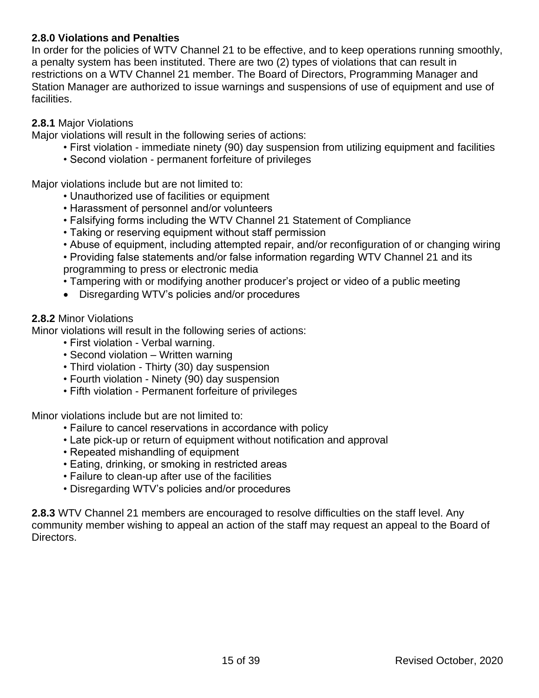## **2.8.0 Violations and Penalties**

In order for the policies of WTV Channel 21 to be effective, and to keep operations running smoothly, a penalty system has been instituted. There are two (2) types of violations that can result in restrictions on a WTV Channel 21 member. The Board of Directors, Programming Manager and Station Manager are authorized to issue warnings and suspensions of use of equipment and use of facilities.

#### **2.8.1** Major Violations

Major violations will result in the following series of actions:

- First violation immediate ninety (90) day suspension from utilizing equipment and facilities
- Second violation permanent forfeiture of privileges

Major violations include but are not limited to:

- Unauthorized use of facilities or equipment
- Harassment of personnel and/or volunteers
- Falsifying forms including the WTV Channel 21 Statement of Compliance
- Taking or reserving equipment without staff permission
- Abuse of equipment, including attempted repair, and/or reconfiguration of or changing wiring
- Providing false statements and/or false information regarding WTV Channel 21 and its programming to press or electronic media
- Tampering with or modifying another producer's project or video of a public meeting
- Disregarding WTV's policies and/or procedures

#### **2.8.2** Minor Violations

Minor violations will result in the following series of actions:

- First violation Verbal warning.
- Second violation Written warning
- Third violation Thirty (30) day suspension
- Fourth violation Ninety (90) day suspension
- Fifth violation Permanent forfeiture of privileges

Minor violations include but are not limited to:

- Failure to cancel reservations in accordance with policy
- Late pick-up or return of equipment without notification and approval
- Repeated mishandling of equipment
- Eating, drinking, or smoking in restricted areas
- Failure to clean-up after use of the facilities
- Disregarding WTV's policies and/or procedures

**2.8.3** WTV Channel 21 members are encouraged to resolve difficulties on the staff level. Any community member wishing to appeal an action of the staff may request an appeal to the Board of Directors.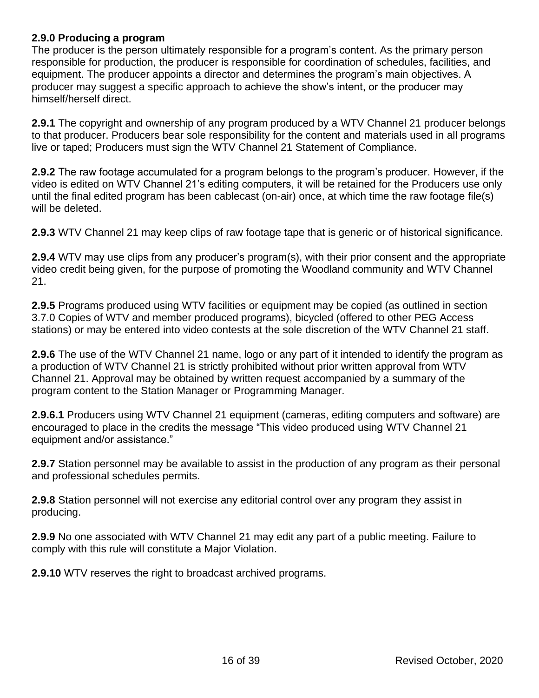#### **2.9.0 Producing a program**

The producer is the person ultimately responsible for a program's content. As the primary person responsible for production, the producer is responsible for coordination of schedules, facilities, and equipment. The producer appoints a director and determines the program's main objectives. A producer may suggest a specific approach to achieve the show's intent, or the producer may himself/herself direct.

**2.9.1** The copyright and ownership of any program produced by a WTV Channel 21 producer belongs to that producer. Producers bear sole responsibility for the content and materials used in all programs live or taped; Producers must sign the WTV Channel 21 Statement of Compliance.

**2.9.2** The raw footage accumulated for a program belongs to the program's producer. However, if the video is edited on WTV Channel 21's editing computers, it will be retained for the Producers use only until the final edited program has been cablecast (on-air) once, at which time the raw footage file(s) will be deleted.

**2.9.3** WTV Channel 21 may keep clips of raw footage tape that is generic or of historical significance.

**2.9.4** WTV may use clips from any producer's program(s), with their prior consent and the appropriate video credit being given, for the purpose of promoting the Woodland community and WTV Channel 21.

**2.9.5** Programs produced using WTV facilities or equipment may be copied (as outlined in section 3.7.0 Copies of WTV and member produced programs), bicycled (offered to other PEG Access stations) or may be entered into video contests at the sole discretion of the WTV Channel 21 staff.

**2.9.6** The use of the WTV Channel 21 name, logo or any part of it intended to identify the program as a production of WTV Channel 21 is strictly prohibited without prior written approval from WTV Channel 21. Approval may be obtained by written request accompanied by a summary of the program content to the Station Manager or Programming Manager.

**2.9.6.1** Producers using WTV Channel 21 equipment (cameras, editing computers and software) are encouraged to place in the credits the message "This video produced using WTV Channel 21 equipment and/or assistance."

**2.9.7** Station personnel may be available to assist in the production of any program as their personal and professional schedules permits.

**2.9.8** Station personnel will not exercise any editorial control over any program they assist in producing.

**2.9.9** No one associated with WTV Channel 21 may edit any part of a public meeting. Failure to comply with this rule will constitute a Major Violation.

**2.9.10** WTV reserves the right to broadcast archived programs.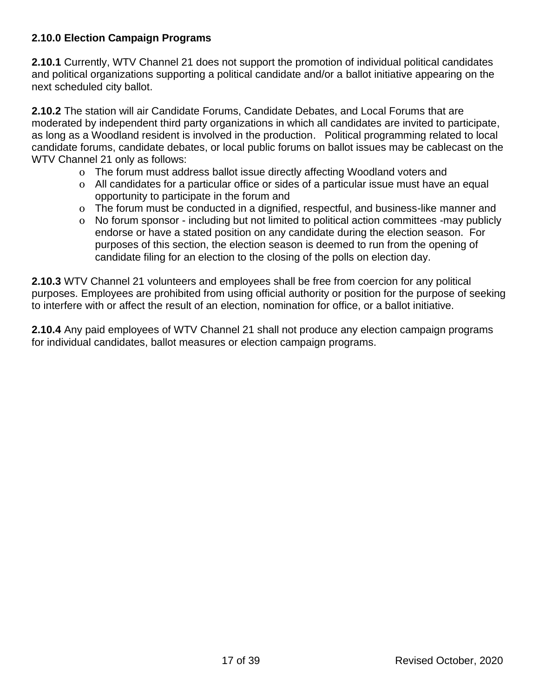# **2.10.0 Election Campaign Programs**

**2.10.1** Currently, WTV Channel 21 does not support the promotion of individual political candidates and political organizations supporting a political candidate and/or a ballot initiative appearing on the next scheduled city ballot.

**2.10.2** The station will air Candidate Forums, Candidate Debates, and Local Forums that are moderated by independent third party organizations in which all candidates are invited to participate, as long as a Woodland resident is involved in the production. Political programming related to local candidate forums, candidate debates, or local public forums on ballot issues may be cablecast on the WTV Channel 21 only as follows:

- o The forum must address ballot issue directly affecting Woodland voters and
- o All candidates for a particular office or sides of a particular issue must have an equal opportunity to participate in the forum and
- o The forum must be conducted in a dignified, respectful, and business-like manner and
- o No forum sponsor including but not limited to political action committees -may publicly endorse or have a stated position on any candidate during the election season. For purposes of this section, the election season is deemed to run from the opening of candidate filing for an election to the closing of the polls on election day.

**2.10.3** WTV Channel 21 volunteers and employees shall be free from coercion for any political purposes. Employees are prohibited from using official authority or position for the purpose of seeking to interfere with or affect the result of an election, nomination for office, or a ballot initiative.

**2.10.4** Any paid employees of WTV Channel 21 shall not produce any election campaign programs for individual candidates, ballot measures or election campaign programs.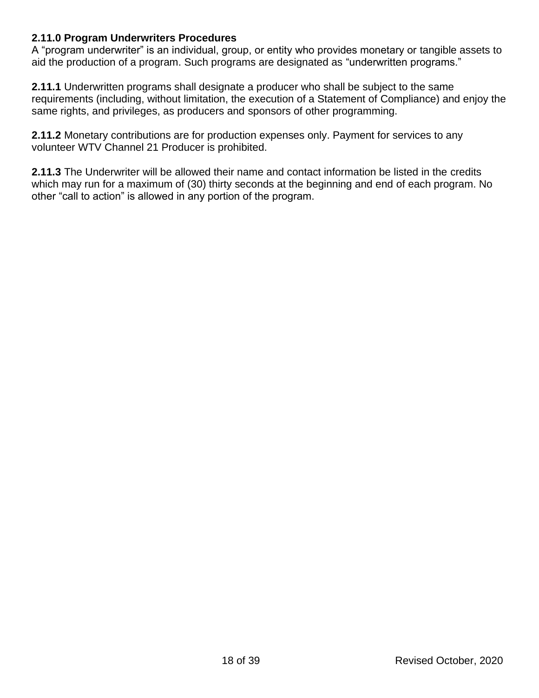## **2.11.0 Program Underwriters Procedures**

A "program underwriter" is an individual, group, or entity who provides monetary or tangible assets to aid the production of a program. Such programs are designated as "underwritten programs."

**2.11.1** Underwritten programs shall designate a producer who shall be subject to the same requirements (including, without limitation, the execution of a Statement of Compliance) and enjoy the same rights, and privileges, as producers and sponsors of other programming.

**2.11.2** Monetary contributions are for production expenses only. Payment for services to any volunteer WTV Channel 21 Producer is prohibited.

**2.11.3** The Underwriter will be allowed their name and contact information be listed in the credits which may run for a maximum of (30) thirty seconds at the beginning and end of each program. No other "call to action" is allowed in any portion of the program.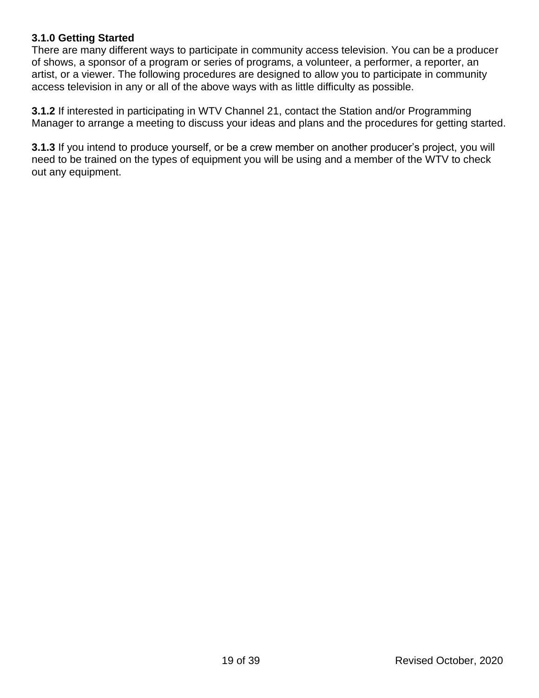## **3.1.0 Getting Started**

There are many different ways to participate in community access television. You can be a producer of shows, a sponsor of a program or series of programs, a volunteer, a performer, a reporter, an artist, or a viewer. The following procedures are designed to allow you to participate in community access television in any or all of the above ways with as little difficulty as possible.

**3.1.2** If interested in participating in WTV Channel 21, contact the Station and/or Programming Manager to arrange a meeting to discuss your ideas and plans and the procedures for getting started.

**3.1.3** If you intend to produce yourself, or be a crew member on another producer's project, you will need to be trained on the types of equipment you will be using and a member of the WTV to check out any equipment.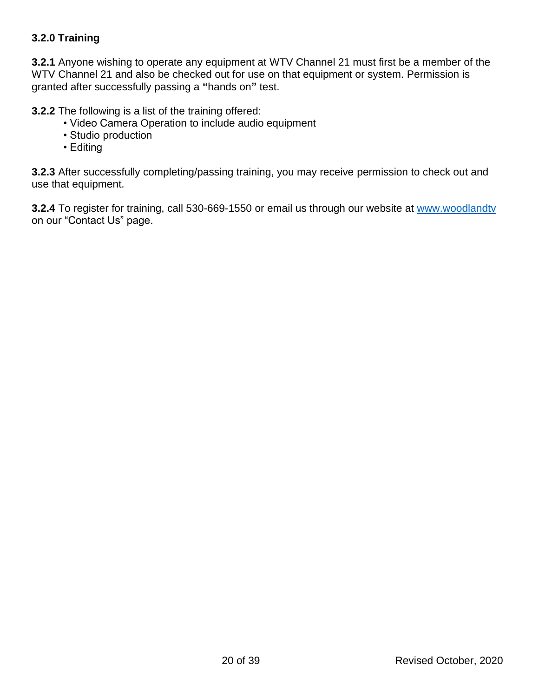# **3.2.0 Training**

**3.2.1** Anyone wishing to operate any equipment at WTV Channel 21 must first be a member of the WTV Channel 21 and also be checked out for use on that equipment or system. Permission is granted after successfully passing a **"**hands on**"** test.

**3.2.2** The following is a list of the training offered:

- Video Camera Operation to include audio equipment
- Studio production
- Editing

**3.2.3** After successfully completing/passing training, you may receive permission to check out and use that equipment.

**3.2.4** To register for training, call 530-669-1550 or email us through our website at [www.woodlandtv](http://www.woodlandtv/) on our "Contact Us" page.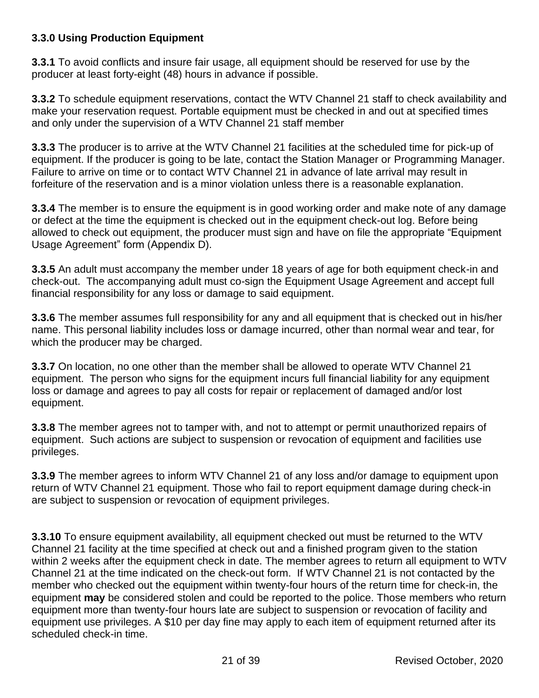# **3.3.0 Using Production Equipment**

**3.3.1** To avoid conflicts and insure fair usage, all equipment should be reserved for use by the producer at least forty-eight (48) hours in advance if possible.

**3.3.2** To schedule equipment reservations, contact the WTV Channel 21 staff to check availability and make your reservation request. Portable equipment must be checked in and out at specified times and only under the supervision of a WTV Channel 21 staff member

**3.3.3** The producer is to arrive at the WTV Channel 21 facilities at the scheduled time for pick-up of equipment. If the producer is going to be late, contact the Station Manager or Programming Manager. Failure to arrive on time or to contact WTV Channel 21 in advance of late arrival may result in forfeiture of the reservation and is a minor violation unless there is a reasonable explanation.

**3.3.4** The member is to ensure the equipment is in good working order and make note of any damage or defect at the time the equipment is checked out in the equipment check-out log. Before being allowed to check out equipment, the producer must sign and have on file the appropriate "Equipment Usage Agreement" form (Appendix D).

**3.3.5** An adult must accompany the member under 18 years of age for both equipment check-in and check-out. The accompanying adult must co-sign the Equipment Usage Agreement and accept full financial responsibility for any loss or damage to said equipment.

**3.3.6** The member assumes full responsibility for any and all equipment that is checked out in his/her name. This personal liability includes loss or damage incurred, other than normal wear and tear, for which the producer may be charged.

**3.3.7** On location, no one other than the member shall be allowed to operate WTV Channel 21 equipment. The person who signs for the equipment incurs full financial liability for any equipment loss or damage and agrees to pay all costs for repair or replacement of damaged and/or lost equipment.

**3.3.8** The member agrees not to tamper with, and not to attempt or permit unauthorized repairs of equipment. Such actions are subject to suspension or revocation of equipment and facilities use privileges.

**3.3.9** The member agrees to inform WTV Channel 21 of any loss and/or damage to equipment upon return of WTV Channel 21 equipment. Those who fail to report equipment damage during check-in are subject to suspension or revocation of equipment privileges.

**3.3.10** To ensure equipment availability, all equipment checked out must be returned to the WTV Channel 21 facility at the time specified at check out and a finished program given to the station within 2 weeks after the equipment check in date. The member agrees to return all equipment to WTV Channel 21 at the time indicated on the check-out form. If WTV Channel 21 is not contacted by the member who checked out the equipment within twenty-four hours of the return time for check-in, the equipment **may** be considered stolen and could be reported to the police. Those members who return equipment more than twenty-four hours late are subject to suspension or revocation of facility and equipment use privileges. A \$10 per day fine may apply to each item of equipment returned after its scheduled check-in time.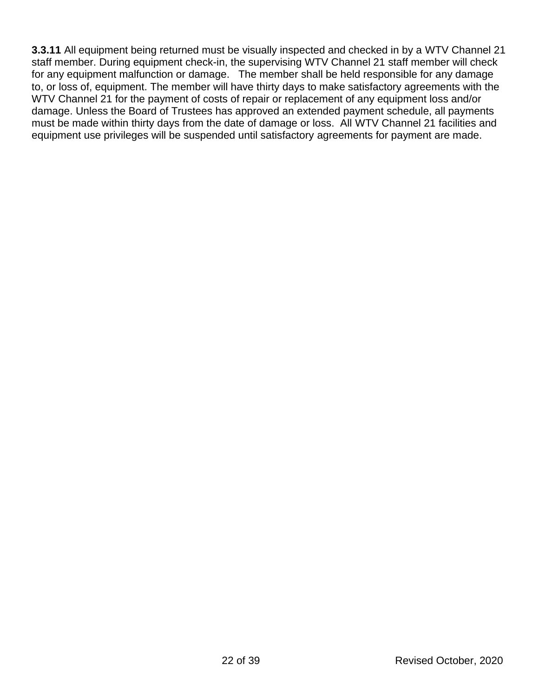**3.3.11** All equipment being returned must be visually inspected and checked in by a WTV Channel 21 staff member. During equipment check-in, the supervising WTV Channel 21 staff member will check for any equipment malfunction or damage. The member shall be held responsible for any damage to, or loss of, equipment. The member will have thirty days to make satisfactory agreements with the WTV Channel 21 for the payment of costs of repair or replacement of any equipment loss and/or damage. Unless the Board of Trustees has approved an extended payment schedule, all payments must be made within thirty days from the date of damage or loss. All WTV Channel 21 facilities and equipment use privileges will be suspended until satisfactory agreements for payment are made.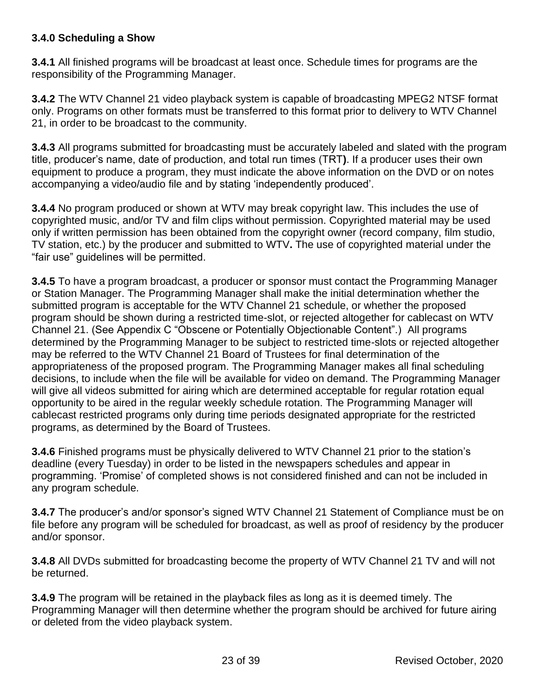## **3.4.0 Scheduling a Show**

**3.4.1** All finished programs will be broadcast at least once. Schedule times for programs are the responsibility of the Programming Manager.

**3.4.2** The WTV Channel 21 video playback system is capable of broadcasting MPEG2 NTSF format only. Programs on other formats must be transferred to this format prior to delivery to WTV Channel 21, in order to be broadcast to the community.

**3.4.3** All programs submitted for broadcasting must be accurately labeled and slated with the program title, producer's name, date of production, and total run times (TRT**)**. If a producer uses their own equipment to produce a program, they must indicate the above information on the DVD or on notes accompanying a video/audio file and by stating 'independently produced'.

**3.4.4** No program produced or shown at WTV may break copyright law. This includes the use of copyrighted music, and/or TV and film clips without permission. Copyrighted material may be used only if written permission has been obtained from the copyright owner (record company, film studio, TV station, etc.) by the producer and submitted to WTV**.** The use of copyrighted material under the "fair use" guidelines will be permitted.

**3.4.5** To have a program broadcast, a producer or sponsor must contact the Programming Manager or Station Manager. The Programming Manager shall make the initial determination whether the submitted program is acceptable for the WTV Channel 21 schedule, or whether the proposed program should be shown during a restricted time-slot, or rejected altogether for cablecast on WTV Channel 21. (See Appendix C "Obscene or Potentially Objectionable Content".) All programs determined by the Programming Manager to be subject to restricted time-slots or rejected altogether may be referred to the WTV Channel 21 Board of Trustees for final determination of the appropriateness of the proposed program. The Programming Manager makes all final scheduling decisions, to include when the file will be available for video on demand. The Programming Manager will give all videos submitted for airing which are determined acceptable for regular rotation equal opportunity to be aired in the regular weekly schedule rotation. The Programming Manager will cablecast restricted programs only during time periods designated appropriate for the restricted programs, as determined by the Board of Trustees.

**3.4.6** Finished programs must be physically delivered to WTV Channel 21 prior to the station's deadline (every Tuesday) in order to be listed in the newspapers schedules and appear in programming. 'Promise' of completed shows is not considered finished and can not be included in any program schedule.

**3.4.7** The producer's and/or sponsor's signed WTV Channel 21 Statement of Compliance must be on file before any program will be scheduled for broadcast, as well as proof of residency by the producer and/or sponsor.

**3.4.8** All DVDs submitted for broadcasting become the property of WTV Channel 21 TV and will not be returned.

**3.4.9** The program will be retained in the playback files as long as it is deemed timely. The Programming Manager will then determine whether the program should be archived for future airing or deleted from the video playback system.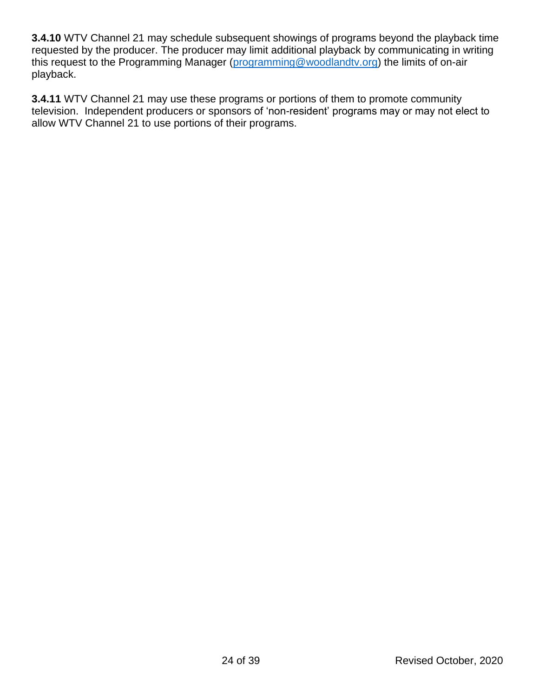**3.4.10** WTV Channel 21 may schedule subsequent showings of programs beyond the playback time requested by the producer. The producer may limit additional playback by communicating in writing this request to the Programming Manager [\(programming@woodlandtv.org\)](mailto:programming@woodlandtv.org) the limits of on-air playback.

**3.4.11** WTV Channel 21 may use these programs or portions of them to promote community television. Independent producers or sponsors of 'non-resident' programs may or may not elect to allow WTV Channel 21 to use portions of their programs.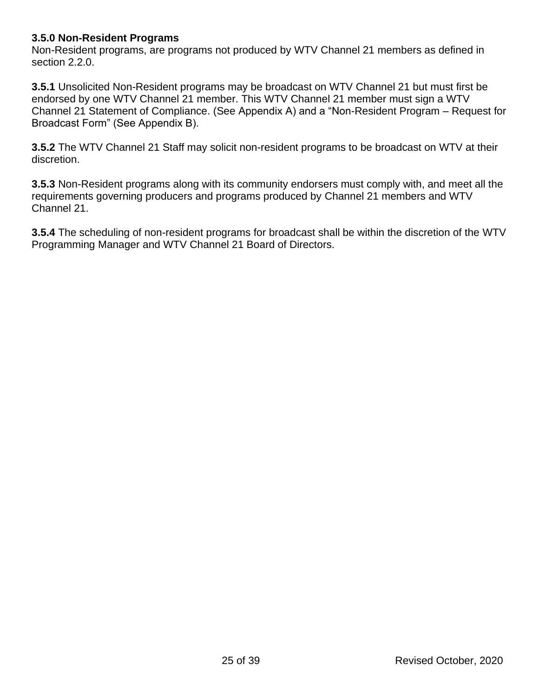### **3.5.0 Non-Resident Programs**

Non-Resident programs, are programs not produced by WTV Channel 21 members as defined in section 2.2.0.

**3.5.1** Unsolicited Non-Resident programs may be broadcast on WTV Channel 21 but must first be endorsed by one WTV Channel 21 member. This WTV Channel 21 member must sign a WTV Channel 21 Statement of Compliance. (See Appendix A) and a "Non-Resident Program – Request for Broadcast Form" (See Appendix B).

**3.5.2** The WTV Channel 21 Staff may solicit non-resident programs to be broadcast on WTV at their discretion.

**3.5.3** Non-Resident programs along with its community endorsers must comply with, and meet all the requirements governing producers and programs produced by Channel 21 members and WTV Channel 21.

**3.5.4** The scheduling of non-resident programs for broadcast shall be within the discretion of the WTV Programming Manager and WTV Channel 21 Board of Directors.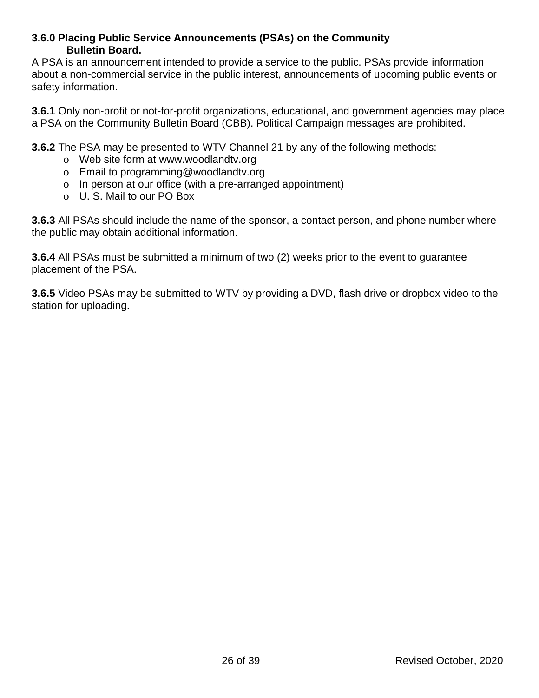#### **3.6.0 Placing Public Service Announcements (PSAs) on the Community Bulletin Board.**

A PSA is an announcement intended to provide a service to the public. PSAs provide information about a non-commercial service in the public interest, announcements of upcoming public events or safety information.

**3.6.1** Only non-profit or not-for-profit organizations, educational, and government agencies may place a PSA on the Community Bulletin Board (CBB). Political Campaign messages are prohibited.

**3.6.2** The PSA may be presented to WTV Channel 21 by any of the following methods:

- o Web site form at www.woodlandtv.org
- o Email to programming@woodlandtv.org
- o In person at our office (with a pre-arranged appointment)
- o U. S. Mail to our PO Box

**3.6.3** All PSAs should include the name of the sponsor, a contact person, and phone number where the public may obtain additional information.

**3.6.4** All PSAs must be submitted a minimum of two (2) weeks prior to the event to guarantee placement of the PSA.

**3.6.5** Video PSAs may be submitted to WTV by providing a DVD, flash drive or dropbox video to the station for uploading.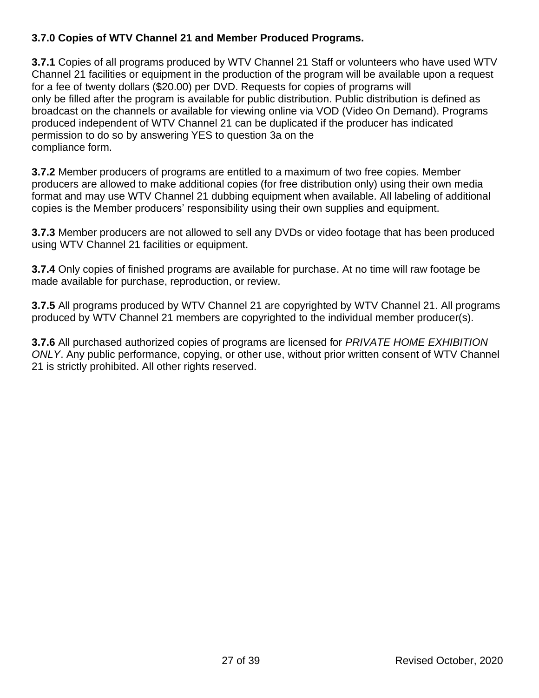# **3.7.0 Copies of WTV Channel 21 and Member Produced Programs.**

**3.7.1** Copies of all programs produced by WTV Channel 21 Staff or volunteers who have used WTV Channel 21 facilities or equipment in the production of the program will be available upon a request for a fee of twenty dollars (\$20.00) per DVD. Requests for copies of programs will only be filled after the program is available for public distribution. Public distribution is defined as broadcast on the channels or available for viewing online via VOD (Video On Demand). Programs produced independent of WTV Channel 21 can be duplicated if the producer has indicated permission to do so by answering YES to question 3a on the compliance form.

**3.7.2** Member producers of programs are entitled to a maximum of two free copies. Member producers are allowed to make additional copies (for free distribution only) using their own media format and may use WTV Channel 21 dubbing equipment when available. All labeling of additional copies is the Member producers' responsibility using their own supplies and equipment.

**3.7.3** Member producers are not allowed to sell any DVDs or video footage that has been produced using WTV Channel 21 facilities or equipment.

**3.7.4** Only copies of finished programs are available for purchase. At no time will raw footage be made available for purchase, reproduction, or review.

**3.7.5** All programs produced by WTV Channel 21 are copyrighted by WTV Channel 21. All programs produced by WTV Channel 21 members are copyrighted to the individual member producer(s).

**3.7.6** All purchased authorized copies of programs are licensed for *PRIVATE HOME EXHIBITION ONLY*. Any public performance, copying, or other use, without prior written consent of WTV Channel 21 is strictly prohibited. All other rights reserved.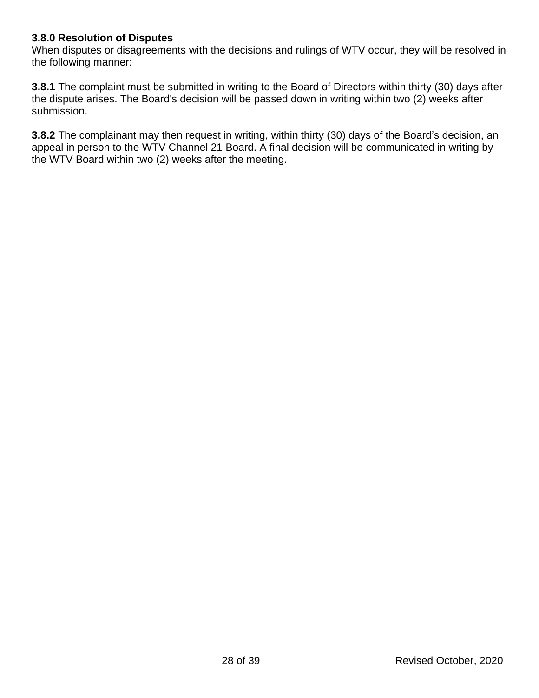## **3.8.0 Resolution of Disputes**

When disputes or disagreements with the decisions and rulings of WTV occur, they will be resolved in the following manner:

**3.8.1** The complaint must be submitted in writing to the Board of Directors within thirty (30) days after the dispute arises. The Board's decision will be passed down in writing within two (2) weeks after submission.

**3.8.2** The complainant may then request in writing, within thirty (30) days of the Board's decision, an appeal in person to the WTV Channel 21 Board. A final decision will be communicated in writing by the WTV Board within two (2) weeks after the meeting.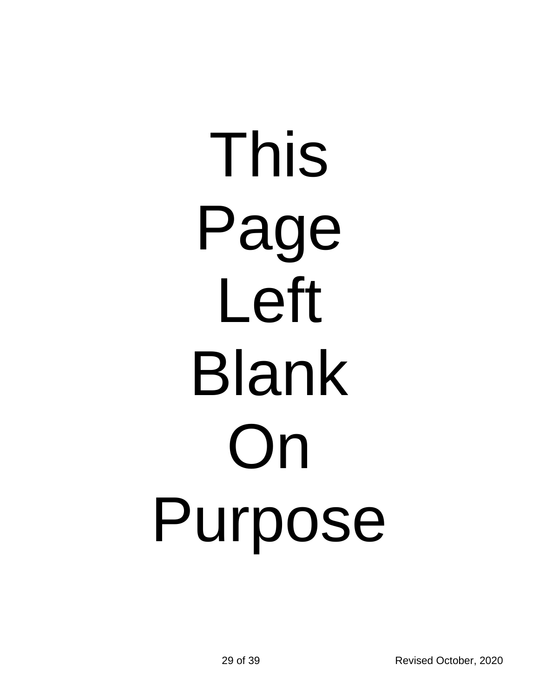# This Page Left Blank On Purpose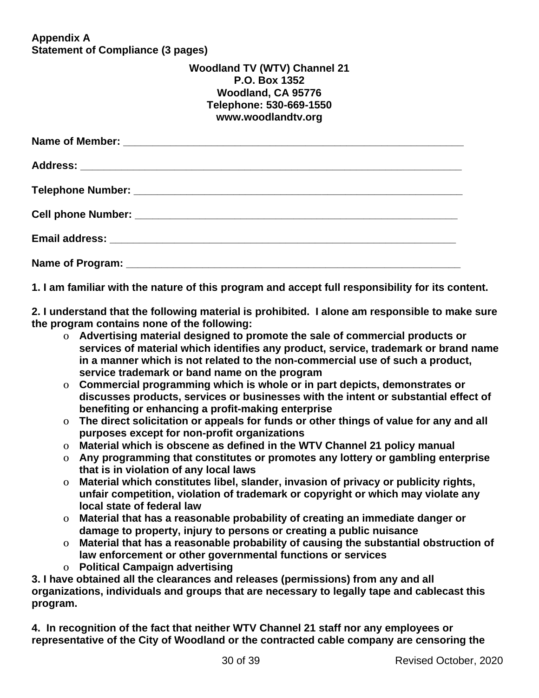**Appendix A Statement of Compliance (3 pages)**

### **Woodland TV (WTV) Channel 21 P.O. Box 1352 Woodland, CA 95776 Telephone: 530-669-1550 www.woodlandtv.org**

**1. I am familiar with the nature of this program and accept full responsibility for its content.**

**2. I understand that the following material is prohibited. I alone am responsible to make sure the program contains none of the following:**

- o **Advertising material designed to promote the sale of commercial products or services of material which identifies any product, service, trademark or brand name in a manner which is not related to the non-commercial use of such a product, service trademark or band name on the program**
- o **Commercial programming which is whole or in part depicts, demonstrates or discusses products, services or businesses with the intent or substantial effect of benefiting or enhancing a profit-making enterprise**
- o **The direct solicitation or appeals for funds or other things of value for any and all purposes except for non-profit organizations**
- o **Material which is obscene as defined in the WTV Channel 21 policy manual**
- o **Any programming that constitutes or promotes any lottery or gambling enterprise that is in violation of any local laws**
- o **Material which constitutes libel, slander, invasion of privacy or publicity rights, unfair competition, violation of trademark or copyright or which may violate any local state of federal law**
- o **Material that has a reasonable probability of creating an immediate danger or damage to property, injury to persons or creating a public nuisance**
- o **Material that has a reasonable probability of causing the substantial obstruction of law enforcement or other governmental functions or services**
- o **Political Campaign advertising**

**3. I have obtained all the clearances and releases (permissions) from any and all organizations, individuals and groups that are necessary to legally tape and cablecast this program.**

**4. In recognition of the fact that neither WTV Channel 21 staff nor any employees or representative of the City of Woodland or the contracted cable company are censoring the**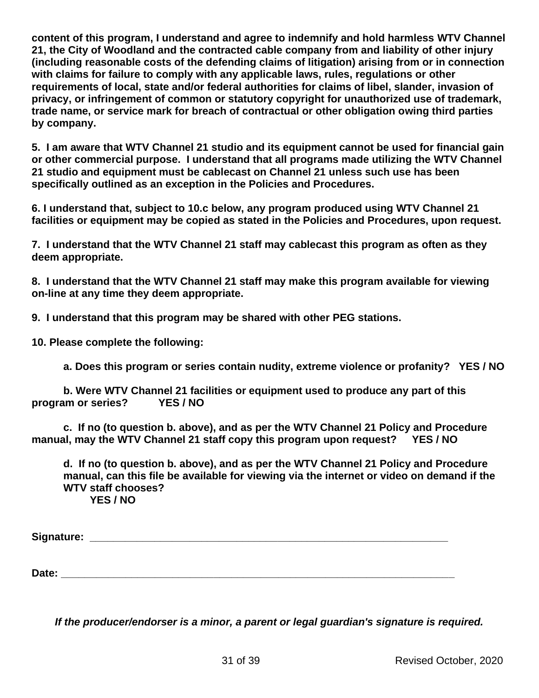**content of this program, I understand and agree to indemnify and hold harmless WTV Channel 21, the City of Woodland and the contracted cable company from and liability of other injury (including reasonable costs of the defending claims of litigation) arising from or in connection with claims for failure to comply with any applicable laws, rules, regulations or other requirements of local, state and/or federal authorities for claims of libel, slander, invasion of privacy, or infringement of common or statutory copyright for unauthorized use of trademark, trade name, or service mark for breach of contractual or other obligation owing third parties by company.** 

**5. I am aware that WTV Channel 21 studio and its equipment cannot be used for financial gain or other commercial purpose. I understand that all programs made utilizing the WTV Channel 21 studio and equipment must be cablecast on Channel 21 unless such use has been specifically outlined as an exception in the Policies and Procedures.**

**6. I understand that, subject to 10.c below, any program produced using WTV Channel 21 facilities or equipment may be copied as stated in the Policies and Procedures, upon request.**

**7. I understand that the WTV Channel 21 staff may cablecast this program as often as they deem appropriate.**

**8. I understand that the WTV Channel 21 staff may make this program available for viewing on-line at any time they deem appropriate.**

**9. I understand that this program may be shared with other PEG stations.**

**10. Please complete the following:**

**a. Does this program or series contain nudity, extreme violence or profanity? YES / NO**

**b. Were WTV Channel 21 facilities or equipment used to produce any part of this program or series? YES / NO**

**c. If no (to question b. above), and as per the WTV Channel 21 Policy and Procedure manual, may the WTV Channel 21 staff copy this program upon request? YES / NO**

**d. If no (to question b. above), and as per the WTV Channel 21 Policy and Procedure manual, can this file be available for viewing via the internet or video on demand if the WTV staff chooses? YES / NO**

**Signature: \_\_\_\_\_\_\_\_\_\_\_\_\_\_\_\_\_\_\_\_\_\_\_\_\_\_\_\_\_\_\_\_\_\_\_\_\_\_\_\_\_\_\_\_\_\_\_\_\_\_\_\_\_\_\_\_\_\_\_\_\_**

Date:

*If the producer/endorser is a minor, a parent or legal guardian's signature is required.*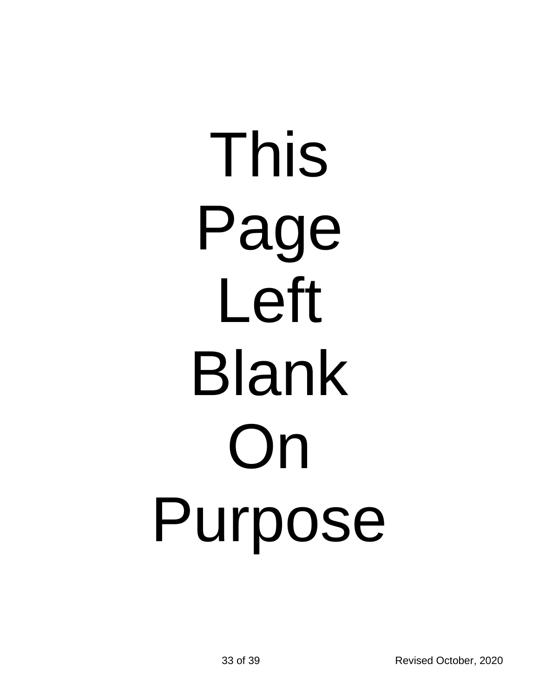# This Page Left Blank On Purpose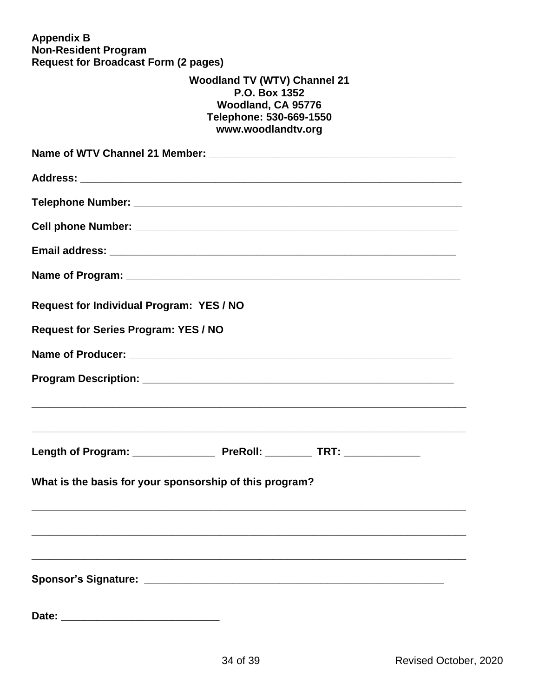**Appendix B Non-Resident Program Request for Broadcast Form (2 pages)**

# **Woodland TV (WTV) Channel 21 P.O. Box 1352 Woodland, CA 95776 Telephone: 530-669-1550 www.woodlandtv.org**

| <b>Request for Individual Program: YES / NO</b>         |
|---------------------------------------------------------|
| Request for Series Program: YES / NO                    |
|                                                         |
|                                                         |
|                                                         |
|                                                         |
| What is the basis for your sponsorship of this program? |
|                                                         |
|                                                         |
|                                                         |
|                                                         |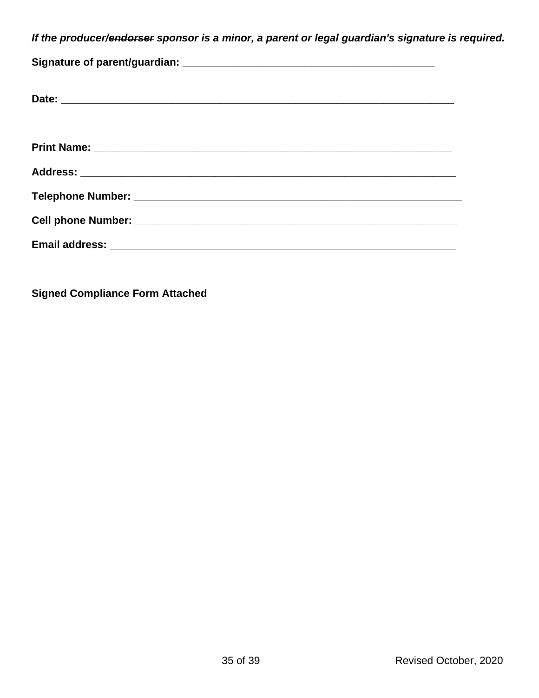*If the producer/endorser sponsor is a minor, a parent or legal guardian's signature is required.*

**Signed Compliance Form Attached**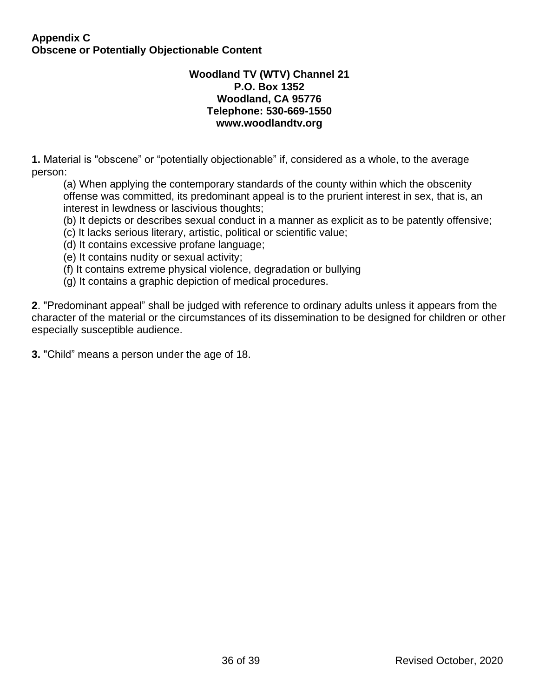#### **Appendix C Obscene or Potentially Objectionable Content**

#### **Woodland TV (WTV) Channel 21 P.O. Box 1352 Woodland, CA 95776 Telephone: 530-669-1550 www.woodlandtv.org**

**1.** Material is "obscene" or "potentially objectionable" if, considered as a whole, to the average person:

(a) When applying the contemporary standards of the county within which the obscenity offense was committed, its predominant appeal is to the prurient interest in sex, that is, an interest in lewdness or lascivious thoughts;

- (b) It depicts or describes sexual conduct in a manner as explicit as to be patently offensive;
- (c) It lacks serious literary, artistic, political or scientific value;
- (d) It contains excessive profane language;
- (e) It contains nudity or sexual activity;
- (f) It contains extreme physical violence, degradation or bullying
- (g) It contains a graphic depiction of medical procedures.

**2**. "Predominant appeal" shall be judged with reference to ordinary adults unless it appears from the character of the material or the circumstances of its dissemination to be designed for children or other especially susceptible audience.

**3.** "Child" means a person under the age of 18.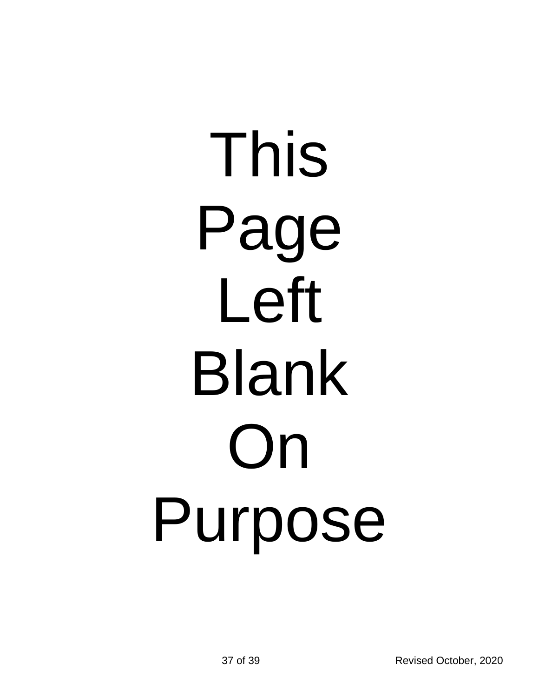# This Page Left Blank On Purpose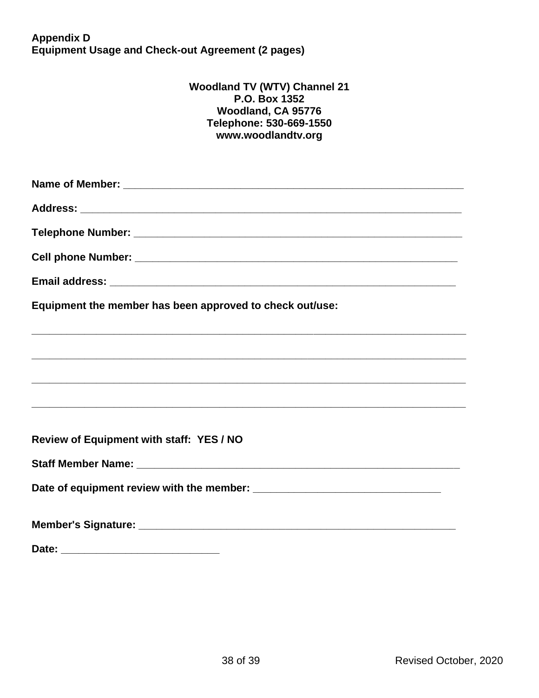**Appendix D Equipment Usage and Check-out Agreement (2 pages)**

#### **Woodland TV (WTV) Channel 21 P.O. Box 1352 Woodland, CA 95776 Telephone: 530-669-1550 www.woodlandtv.org**

| Equipment the member has been approved to check out/use:                                                              |
|-----------------------------------------------------------------------------------------------------------------------|
| <u> 1989 - Johann Harry Harry Harry Harry Harry Harry Harry Harry Harry Harry Harry Harry Harry Harry Harry Harry</u> |
|                                                                                                                       |
|                                                                                                                       |
|                                                                                                                       |
| Review of Equipment with staff: YES / NO                                                                              |
|                                                                                                                       |
|                                                                                                                       |
|                                                                                                                       |
|                                                                                                                       |